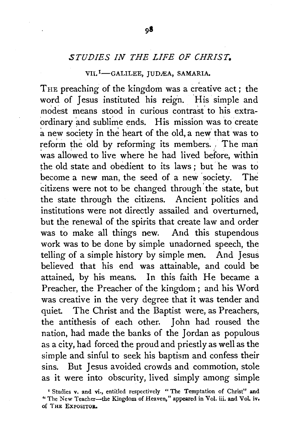## *STUDIES IN THE LIFE OF CHRIST.*

## VII.<sup>I</sup>-GALILEE, JUDÆA, SAMARIA.

THE preaching of the kingdom was a creative act; the word of Jesus instituted his reign. 'His simple and modest means stood in curious contrast' to his extraordinary and sublime ends. His mission was to create a new society in the heart of the old, a new' that was to reform the old by reforming its members. The man was allowed to live where he had lived before, within the old state and obedient to its laws ; but he was to become a new man, the seed of a new 'society. The citizens were not to be changed through the state, but the state through the citizens. Ancient politics and institutions were not directly assailed and overturned, but the renewal of the spirits that create law and order was to make all things new. And this stupendous work was to be done by simple unadorned speech, the telling of a simple history by simple men. And Jesus believed that his end was attainable, and could be attained, by his means. In this faith He became a Preacher, the Preacher of the kingdom ; and his Word was creative in the very degree that it was tender and quiet. The Christ and the Baptist were, as Preachers, the antithesis of each other. John had roused the nation, had made the banks of the Jordan as populous as a city, had forced the proud and priestly as well as the simple and sinful to seek his baptism and confess their sins. But Jesus avoided crowds and commotion, stole as it were into obscurity, lived simply among simple

<sup>•</sup> Studies v. and vi., entitled respectively " The Temptation of Christ" and "The New Teacher--the Kingdom of Heaven," appeared in Vol. iii. and Vol. iv. of THE EXPOSITOR.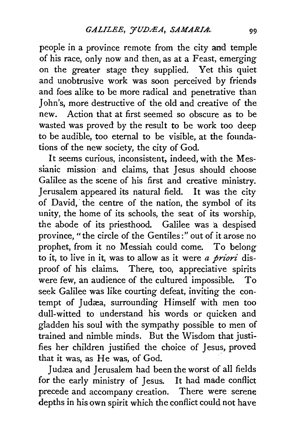people in a province remote from the city and temple of his race, only now and then, as at a Feast, emerging on the greater stage they supplied. Yet this quiet and unobtrusive work was soon perceived by friends and foes alike to be more radical and penetrative than John's, more destructive of the old and creative of the new. Action that at first seemed so obscure as to be wasted was proved by the result to be work too deep to be audible, too eternal to be visible, at the foundations of the new society, the city of God.

It seems curious, inconsistent, indeed, with the Messianic mission and claims, that Jesus should choose Galilee as the scene of his first and creative ministry. Jerusalem appeared its natural field. It was the city of David, the centre of the nation, the symbol of its unity, the home of its schools, the seat of its worship, the abode of its priesthood. Galilee was a despised province, "the circle of the Gentiles:" out of it arose no prophet, from it no Messiah could come. To belong to it, to live in it, was to allow as it were *a priori* disproof of his claims. There, too, appreciative spirits were few, an audience of the cultured impossible. To seek Galilee was like courting defeat, inviting the contempt of Judæa, surrounding Himself with men too dull-witted to understand his words or quicken and gladden his soul with the sympathy possible to men of trained and nimble minds. But the Wisdom that justifies her children justified the choice of Jesus, proved that it was, as He was, of God. .

Judæa and Jerusalem had been the worst of all fields for the early ministry of Jesus. It had made conflict precede and accompany creation. There were serene depths in his own spirit which the conflict could not have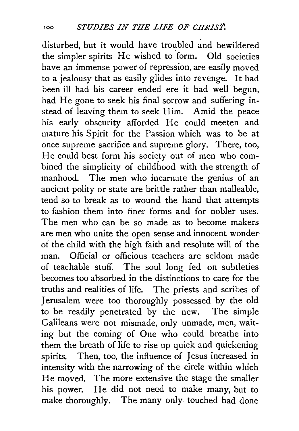disturbed, but it would have troubled and bewildered the simpler spirits He wished to form. Old societies have an immense power of repression, are easily moved to a jealousy that as easily glides into revenge. It had been ill had his career ended ere it had well begun, had He gone to seek his final sorrow and suffering instead of leaving them to seek Him. Amid the peace his early obscurity afforded He could meeten and mature his Spirit for the Passion which was to be at once supreme sacrifice and supreme glory. There, too, He could best form his society out of men who combined the simplicity of childhood with the strength of manhood. The men who incarnate the genius of an ancient polity or state are brittle rather than malleable, tend so to break as to wound the hand that attempts to fashion them into finer forms and for nobler uses. The men who can be so made as to become makers are men who unite the open sense and innocent wonder of the child with the high faith and resolute will of the man. Official or officious teachers are seldom made of teachable stuff. The soul long fed on subtleties becomes too absorbed in the distinctions to care for the truths and realities of life. The priests and scribes of Jerusalem were too thoroughly possessed by the old .to be readily penetrated by the new. The simple Galileans were not mismade, only unmade, men, waiting but the coming of One who could breathe into them the breath of life to rise up quick and quickening spirits. Then, too, the influence of Jesus increased in intensity with the narrowing of the circle within which He moved. The more extensive the stage the smaller his power. He did not need to make many, but to make thoroughly. The many only touched had done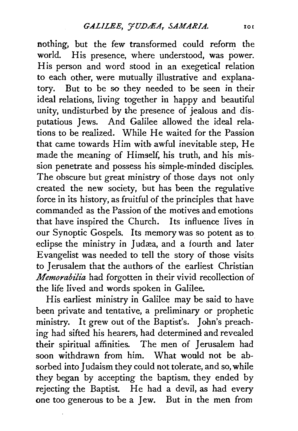nothing, but the few transformed could reform the world. His presence, where understood, was power. His person and word stood in an exegetical relation to each other, were mutually illustrative and explanatory. But to be so they needed to be seen in their ideal relations, living together in happy and beautiful unity, undisturbed by the presence of jealous and disputatious Jews. And Galilee allowed the ideal relations to be realized. While He waited for the Passion that came towards Him with awful inevitable step, He made the meaning of Himself. his truth, and his mission penetrate and possess his simple-minded disciples. The obscure but great ministry of those days not only created the new society, but has been the regulative force in its history, as fruitful of the principles that have commanded as the Passion of the motives and emotions that have inspired the Church. Its influence lives in our Synoptic Gospels. Its memory was so potent as to eclipse the ministry in Judæa, and a fourth and later Evangelist was needed to tell the story of those visits to Jerusalem that the authors of the earliest Christian *Memorabilia* had forgotten in their vivid recollection of the life lived and words spoken in Galilee.

His earliest ministry in Galilee may be said to have been private and tentative, a preliminary or prophetic ministry. It grew out of the Baptist's. John's preaching had sifted his hearers, had determined and revealed their spiritual affinities. The men of Jerusalem had soon withdrawn from him. What would not be absorbed into Judaism they could not tolerate, and so, while they began by accepting the baptism, they ended by rejecting the Baptist. He had a devil, as had every one too generous to be a Jew. But in the men from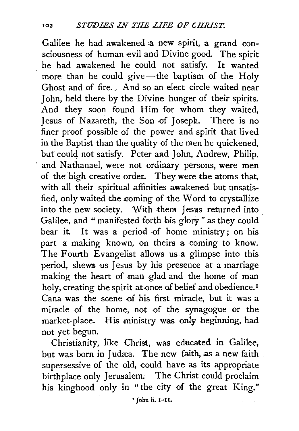Galilee he had awakened a new spirit, a grand consciousness of human evil and Divine good. The spirit he had awakened he could not satisfy. It wanted more than he could give-the baptism of the Holv Ghost and of fire. And so an elect circle waited near John, held there by the Divine hunger of their spirits. And they soon found Him for whom they waited, Jesus of Nazareth, the Son of Joseph. There is no finer proof possible of the power and spirit that lived in the Baptist than the quality of the men he quickened, but could not satisfy. Peter and John, Andrew, Philip. and Nathanael, were not ordinary persons, were men of the high creative order. They were the atoms that, with all their spiritual affinities awakened but unsatisfied, only waited the coming ef the Word to crystallize into the new society. With them Jesus returned into Galilee, and " manifested forth his glory" as they could bear it. It was a period of home ministry; on his part a making known, on theirs a coming to know. The Fourth Evangelist allows us a glimpse into this period, shews us Jesus by his presence at a marriage making the heart of man glad and the home of man holy, creating the spirit at once of belief and obedience.<sup>1</sup> Cana was the scene of his first miracle, but it was a miracle of the home, not of the synagogue or the market-place. His ministry was only beginning, had not yet begun.

Christianity, like Christ, was educated in Galilee, but was born in Judæa. The new faith, as a new faith supersessive of the old, could have as its appropriate birthplace only Jerusalem. The Christ could proclaim his kinghood only in " the city of the great King."

1 John ii. 1-11.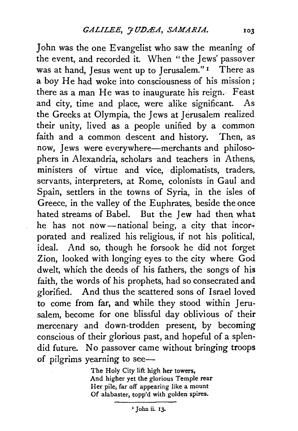John was the one Evangelist who saw the meaning of the event, and recorded it. When " the Jews' passover was at hand, Jesus went up to Jerusalem."<sup>1</sup> There as a boy He had woke into consciousness of his mission; there as a man He was to inaugurate his reign. Feast and city, time and place, were alike significant. As the Greeks at Olympia, the Jews at Jerusalem realized their unity, lived as a people unified by a common faith and a common descent and history. Then, as now, Jews were everywhere-merchants and philosophers in Alexandria, scholars and teachers in Athens, ministers of virtue and vice, diplomatists, traders, servants, interpreters, at Rome, colonists in Gaul and Spain, settlers in the towns of Syria, in the isles of Greece, in the valley of the Euphrates, beside the once hated streams of Babe!. But the Jew had then what he has not now-national being, a city that incorporated and realized his religious, if not his political, ideal. And so, though he forsook he did not forget Zion, looked with longing eyes to the city where God dwelt, which the deeds of his fathers, the songs of his faith, the words of his prophets, had so consecrated and glorified. And thus the scattered sons of Israel loved to come from far, and while they stood within Jerusalem, become for one blissful day oblivious of their mercenary and down-trodden present, by becoming conscious of their glorious past, and hopeful of a splendid future. No passover came without bringing troops of pilgrims yearning to see-

> The Holy City lift high her towers, And higher yet the glorious Temple rear Her pile, far off appearing like a mount Of alabaster, topp'd with golden spires.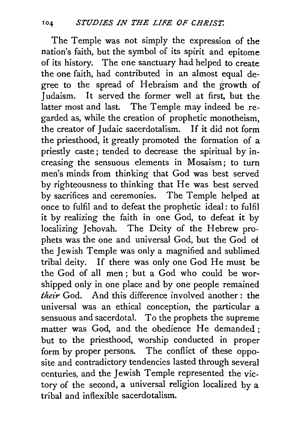The Temple was not simply the expression of the nation's faith, but the symbol of its spirit and epitome of its history. The one sanctuary had helped to create the one faith, had contributed in an almost equal degree to the spread of Hebraism and the growth of Judaism. It served the former well at first, but the latter most and last. The Temple may indeed be regarded as, while the creation of prophetic monotheism, the creator of Judaic sacerdotalism. If it did not form the priesthood, it greatly promoted the formation of a priestly caste; tended to decrease the spiritual by increasing the sensuous elements in Mosaism; to turn men's minds from thinking that God was best served by righteousness to thinking that He was best served by sacrifices and ceremonies. The Temple helped at once to fulfil and to defeat the prophetic ideal: to fulfil it by realizing the faith in one God, to defeat it by localizing Jehovah. The Deity of the Hebrew prophets was the one and universal God, but the God of the Jewish Temple was only a magnified and sublimed tribal deity. If there was only one God He must be the God of all men; but a God who could be worshipped only in one place and by one people remained *their* God. And this difference involved another : the universal was an ethical conception, the particular a sensuous and sacerdotal. To the prophets the supreme matter was God, and the obedience He demanded ; but to the priesthood, worship conducted in proper form by proper persons. The conflict of these opposite and contradictory tendencies lasted through several centuries, and the Jewish Temple represented the victory of the second, a universal religion localized by a tribal and inflexible sacerdotalism.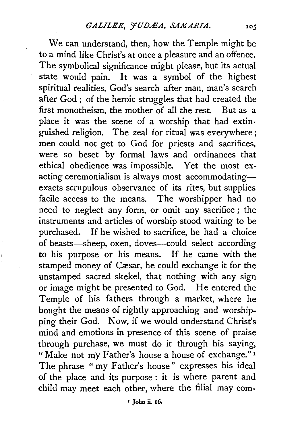We can understand, then, how the Temple might be to a mind like Christ's at once a pleasure and an offence. The symbolical significance might please, but its actual state would pain. It was a symbol of the highest spiritual realities, God's search after man, man's search after God ; of the heroic struggles that had created the first monotheism, the mother of all the rest. But as a place it was the scene of a worship that had extinguished religion. The zeal for ritual was everywhere; men could not get to God for priests and sacrifices, were so beset by formal laws and ordinances that ethical obedience was impossible. Yet the most exacting ceremonialism is always most accommodatingexacts scrupulous observance of its rites, but supplies facile access to the means. The worshipper had no need to neglect any form, or omit any sacrifice ; the instruments and articles of worship stood waiting to be purchased. If he wished to sacrifice, he had a choice of beasts-sheep, oxen, doves-could select according to his purpose or his means. If he came with the stamped money of Cæsar, he could exchange it for the unstamped sacred skekel, that nothing with any sign or image might be presented to God. He entered the Temple of his fathers through a market, where he bought the means of rightly approaching and worshipping their God. Now, if we would understand Christ's mind and emotions in presence of this scene of praise through purchase, we must do it through his saying, "Make not my Father's house a house of exchange."<sup>1</sup> The phrase "my Father's house" expresses his ideal of the place and its purpose : it is where parent and child may meet each other, where the filial may com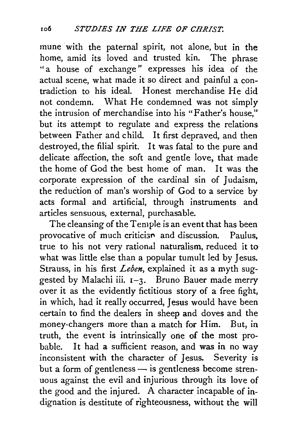mune with the paternal spirit, not alone, but in the home, amid its loved and trusted kin. The phrase "a house of exchange" expresses his idea of the actual scene, what made it so direct and painful a contradiction to his ideal. Honest merchandise He did not condemn. What He condemned was not simply the intrusion of merchandise into his "Father's house," but its attempt to regulate and express the relations between Father and child. It first depraved, and then destroyed, the filial spirit. It was fatal to the pure and delicate affection, the soft and gentle love, that made the home of God the best home of man. It was the corporate expression of the cardinal sin of Judaism. the reduction of man's worship of God to a service by acts formal and artificial, through instruments and articles sensuous, external, purchasable.

The cleansing of the Temple is an event that has been provocative of much criticism and discussion. Paulus, true to his not very rational naturalism, reduced it to what was little else than a popular tumult led by Jesus. Strauss, in his first *Leben,* explained it as a myth suggested by Malachi iii.  $I-3$ . Bruno Bauer made merry over it as the evidently fictitious story of a free fight, in which, had it really occurred, Jesus would have been certain to find the dealers in sheep and doves and the money-changers more than a match for Him. But, in truth, the event is intrinsically one of the most probable. It had a sufficient reason, and was in no way inconsistent with the character of Jesus. Severity is but a form of gentleness  $-$  is gentleness become strenuous against the evil and injurious through its love of the good and the injured. A character incapable of indignation is destitute of righteousness, without the will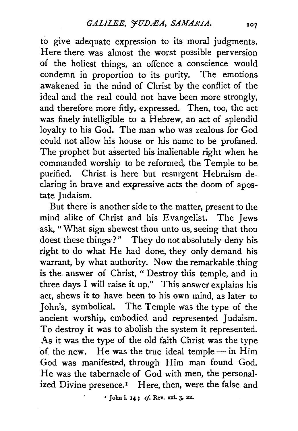to give adequate expression to its moral judgments. Here there was almost the worst possible perversion of the holiest things, an offence a conscience would condemn in proportion to its purity. The emotions awakened in the mind of Christ by the conflict of the ideal and the real could not have been more strongly, and therefore more fitly, expressed. Then, too, the act was finely intelligible to a Hebrew, an act of splendid loyalty to his God. The man who was zealous for God could not allow his house or his name to be profaned. The prophet but asserted his inalienable right when he commanded worship to be reformed, the Temple to be purified. Christ is here but resurgent Hebraism declaring in brave and expressive acts the doom of apostate Judaism.

But there is another side to the matter, present to the mind alike of Christ and his Evangelist. The Jews ask, "What sign shewest thou unto us, seeing that thou doest these things?" They do not absolutely deny his right to do what He had done, they only demand his warrant, by what authority. Now the remarkable thing is the answer of Christ, "Destroy this temple, and in three days I will raise it up." This answer explains his act, shews it to have been to his own mind, as later to John's, symbolical. The Temple was the type of the ancient worship, embodied and represented Judaism. To destroy it was to abolish the system it represented. As it was the type of the old faith Christ was the type of the new. He was the true ideal temple - in Him God was manifested, through Him man found God. He was the tabernacle of God with men, the personalized Divine presence.<sup>1</sup> Here, then, were the false and

• John i. 14; *cf.* Rev. xxi. 3, 22.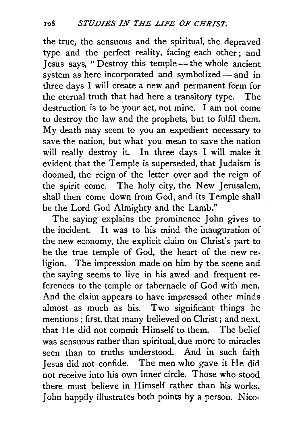the true, the sensuous and the spiritual, the depraved type and the perfect reality, facing each other ; and Jesus says, "Destroy this temple—the whole ancient system as here incorporated and symbolized- and in three days I will create a new and permanent form for the eternal truth that had here a transitory type. The destruction is to be your act, not mine. I am not come to destroy the law and the prophets, but to fulfil them. My death may seem to you an expedient necessary to save the nation, but what you mean to save the nation will really destroy it. In three days I will make it evident that the Temple is superseded, that Judaism is doomed, the reign of the letter over and the reign of the spirit come. The holy city, the New Jerusalem, shall then come down from God, and its Temple shall be the Lord God Almighty and the Lamb."

The saying explains the prominence John gives to the incident. It was to his mind the inauguration of the new economy, the explicit claim on Christ's part to be the true temple of God, the heart of the new religion. The impression made on him by the scene and the saying seems to live in his awed and frequent references to the temple or tabernacle of God with men. And the claim appears to have impressed other minds almost as much as his. Two significant things he mentions; first, that many believed on Christ; and next, that He did not commit Himself to them. The belief was sensuous rather than spiritual, due more to miracles seen than to truths understood. And in such faith *1* esus did not confide. The men who gave it He did not receive into his own inner circle. Those who stood there must believe in Himself rather than his works. John happily illustrates both points by a person. Nico-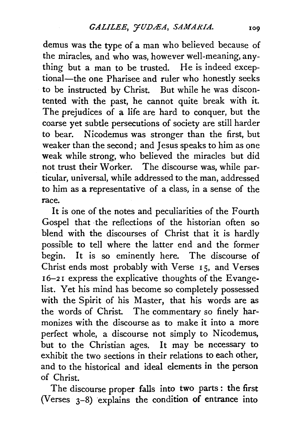demus was the type of a man who believed because of the miracles, and who was, however well-meaning, anything but a man to be trusted. He is indeed exceptional-the one Pharisee and ruler who honestly seeks to be instructed by Christ. But while he was discontented with the past, he cannot quite break with it. The prejudices of a life are hard to conquer, but the coarse yet subtle persecutions of society are still harder to bear. Nicodemus was stronger than the first, but weaker than the second; and Jesus speaks to him as one weak while strong, who believed the miracles but did not trust their Worker. The discourse was, while particular, universal, while addressed to the man, addressed to him as a representative of a class, in a sense of the race.

It is one of the notes and peculiarities of the Fourth Gospel that ·the reflections of the historian often so blend with the discourses of Christ that it is hardly possible to tell where the latter end and the former begin. It is so eminently here. The discourse of Christ ends most probably with Verse 15, and Verses I6-2 I express the explicative thoughts of the Evangelist. Yet his mind has become so completely possessed with the Spirit of his Master, that his words are as the words of Christ. The commentary so finely harmonizes with the discourse as to make it into a more perfect whole, a discourse not simply to Nicodemus, but to the Christian ages. It may be necessary to exhibit the two sections in their relations to each other, and to the historical and ideal elements in the person of Christ.

The discourse proper falls into two parts : the first (Verses  $3-8$ ) explains the condition of entrance into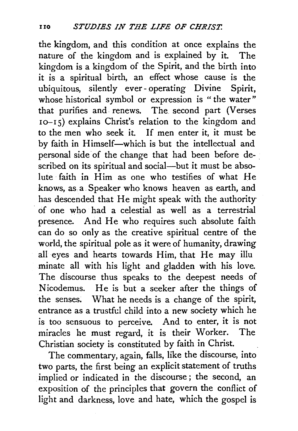the kingdom, and this condition at once explains the nature of the kingdom and is explained by it. The kingdom is a kingdom of the Spirit, and the birth into it is a spiritual birth, an effect whose cause is the ubiquitous, silently ever- operating Divine Spirit, whose historical symbol or expression is "the water" that purifies and renews. The second part (Verses  $10-15$ ) explains Christ's relation to the kingdom and to the men who seek it. If men enter it, it must be by faith in Himself-which is but the intellectual and personal side of the change that had been before described on its spiritual and social--but it must be absolute faith in Him as one who testifies of what He knows, as. a. Speaker who knows heaven as earth, and has descended that He might speak with the authority · of one who had a celestial as well as a terrestrial presence. And He who requires such absolute faith can do so only as the creative spiritual centre of the world, the spiritual pole as it were of humanity, drawing all eyes and hearts towards Him, that He may illu minate all with his light and gladden with his love. The discourse thus speaks to the deepest needs of Nicodemus. He is but a seeker after the things of the senses; What he needs is a change of the spirit, entrance as a trustful child into a new society which he is too sensuous to perceive. And to enter, it is not miracles he must regard, it is their Worker. The Christian society is constituted by faith in Christ.

The commentary, again, falls, like the discourse, into two parts, the first being an explicit statement of truths implied or indicated in the discourse ; the second, an exposition of the principles that govern the conflict of light and darkness, love and hate, which the gospel is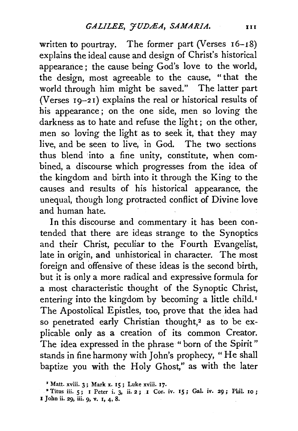written to pourtray. The former part (Verses 16-18) explains the ideal cause and design of Christ's historical appearance; the cause being God's love to the world, the design, most agreeable to the cause, " that the world through him might be saved." The latter part (Verses  $19-21$ ) explains the real or historical results of his appearance ; on the one side, men so loving the darkness as to hate and refuse the light ; on the other, men so loving the light as to seek it, that they may live, and be seen to live, in God. The two sections thus blend into a fine unity, constitute, when combined, a discourse which progresses from the idea of the kingdom and birth into it through the King to the causes and results of his historical appearance, the unequal, though long protracted conflict of Divine love and human hate.

In this discourse and commentary it has been contended that there are ideas strange to the Synoptics and their Christ, peculiar to the Fourth Evangelist, late in origin, and unhistorical in character. The most foreign and offensive of these ideas is the second birth, but it is only a more radical and expressive formula for a most characteristic thought of the Synoptic Christ, entering into the kingdom by becoming a little child.<sup>1</sup> The Apostolical Epistles, too, prove that the idea had so penetrated early Christian thought,<sup>2</sup> as to be explicable only as a creation of its common Creator. The idea expressed in the phrase " born of the Spirit " stands in fine harmony with John's prophecy, " He shall baptize you with the Holy Ghost," as with the later

<sup>&</sup>lt;sup>1</sup> Matt. xviii. 3; Mark x. 15; Luke xviii. 17.

<sup>&</sup>lt;sup>2</sup> Titus iii. 5; I Peter i. 3, ii. 2; I Cor. iv. 15; Gal. iv. 29; Phil. 10; I John ii. 29, iii. 9, v. I, 4, 8.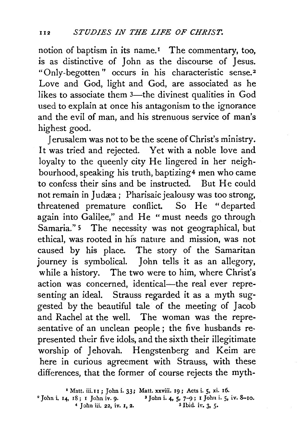notion of baptism in its name.<sup> $I$ </sup> The commentary, too, is as distinctive of John as the discourse of Jesus. "Only-begotten" occurs in his characteristic sense.<sup>2</sup> Love and God, light and God, are associated as he likes to associate them 3—the divinest qualities in God used to explain at once his antagonism to the ignorance and the evil of man, and his strenuous service of man's highest good.

Jerusalem was not to be the scene of Christ's ministry. It was tried and rejected. Yet with a noble love and loyalty to the queenly city He lingered in her neighbourhood, speaking his truth, baptizing4 men who came to confess their sins and be instructed. But He could not remain in Judæa; Pharisaic jealousy was too strong, threatened premature conflict. So He "departed again into Galilee," and He " must needs go through Samaria." <sup>5</sup> The necessity was not geographical, but ethical, was rooted in his nature and mission, was not caused by his place. The story of the Samaritan journey is symbolical. John tells it as an allegory, while a history. The two were to him, where Christ's action was concerned, identical-the real ever representing an ideal. Strauss regarded it as a myth suggested by the beautiful tale of the meeting of Jacob and Rachel at the well. The woman was the representative of an unclean people ; the five husbands represented their five idols, and the sixth their illegitimate worship of Jehovah. Hengstenberg and Keim are here in curious agreement with Strauss, with these differences, that the former of course rejects the myth-

<sup>1</sup> Matt. iii. 11 ; John i. 33; Matt. xxviii. 19; Acts i. 5, xi. 16.<br>
<sup>2</sup> John i. 14, 18; I John iv. 9. <sup>3</sup> John i. 4, 5, 7-9; I John i. 5, *iv.* 8-10.<br>
<sup>4</sup> John iii. 22. *iv.* 1, 2. <sup>5</sup> Ibid. *iv.* 3, 5. 4 John iii. 22, iv. 1, 2.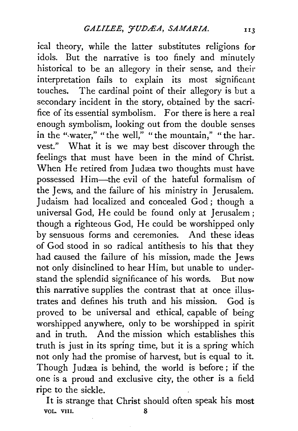ical theory, while the latter substitutes religions for idols. But the narrative is too finely and minutely historical to be an allegory in their sense, and their interpretation fails to explain its most significant touches. The cardinal point of their allegory is but a secondary incident in the story, obtained by the sacrifice of its essential symbolism. For there is here a real enough symbolism, looking out from the double senses in the "water," "the well," "the mountain," "the harvest." What it is we may best discover through the feelings that must have been in the mind of Christ. When He retired from Judæa two thoughts must have possessed Him-the evil of the hateful formalism of the Jews, and the failure of his ministry in Jerusalem. Judaism had localized and concealed God; though a universal God, He could be found only at Jerusalem; though a righteous God, He could be worshipped only by sensuous forms and ceremonies. And these ideas of God stood in so radical antithesis to his that they had caused the failure of his mission, made the Jews not only disinclined to hear Him, but unable to understand the splendid significance of his words. But now this narrative supplies the contrast that at once illustrates and defines his truth and his mission. God is proved to be universal and ethical, capable of being worshipped anywhere, only to be worshipped in spirit and in truth. And the mission which establishes this truth is just in its spring time, but it is a spring which not only had the promise of harvest, but is equal to it. Though Judæa is behind, the world is before; if the one is a proud and exclusive city, the other is a field ripe to the sickle.

It is strange that Christ should often speak his most VOL. VIII. 8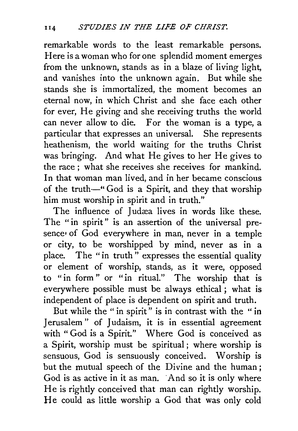remarkable words to the least remarkable persons. Here is a woman who for one splendid moment emerges from the unknown, stands as in a blaze of living light, and vanishes into the unknown again. But while she stands she is immortalized, the moment becomes an eternal now, in which Christ and she face each other for ever, He giving and she receiving truths the world can never allow to die. For the woman is a type, a particular that expresses an universal. She represents heathenism, the world waiting for the truths Christ was bringing. And what He gives to her He gives to the race; what she receives she receives for mankind. In that woman man lived, and in her became conscious of the truth-" God is a Spirit, and they that worship him must worship in spirit and in truth."

The influence of Judæa lives in words like these. The "in spirit" is an assertion of the universal presence' of God everywhere in man, never in a temple or city, to be worshipped by mind, never as in a place. The "in truth" expresses the essential quality or element of worship, stands, as it were, opposed to "in form" or "in ritual." The worship that is everywhere possible must be always ethical; what is independent of place is dependent on spirit and truth.

But while the " in spirit" is in contrast with the " in Jerusalem" of Judaism, it is in essential agreement with "God is a Spirit." Where God is conceived as a Spirit, worship must be spiritual ; where worship is sensuous, God is sensuously conceived. Worship is but the mutual speech of the Divine and the human ; God is as active in it as man. And so it is only where He is rightly conceived that man can rightly worship. He could as little worship a God that was only cold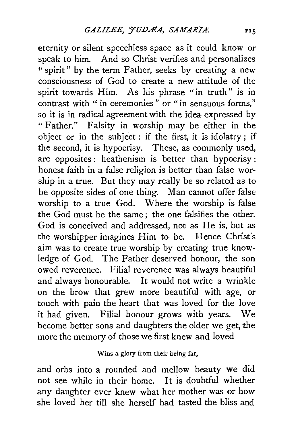eternity or silent speechless space as it could know or speak to him. And so Christ verifies and personalizes "spirit" by the term Father, seeks by creating a new consciousness of God to create a new attitude of the spirit towards Him. As his phrase "in truth" is in contrast with " in ceremonies " or " in sensuous forms," so it is in radical agreement with the idea expressed by "Father." Falsity in worship may be either in the object or in the subject : if the first, it is idolatry ; if the second, it is hypocrisy. These, as commonly used, are opposites: heathenism is better than hypocrisy; honest faith in a false religion is better than false worship in a true. But they may really be so related as to be opposite sides of one thing. Man cannot offer false worship to a true God. Where the worship is false the God must be the same ; the one falsifies the other. God is conceived and addressed, not as He is, but as the worshipper imagines Him to, be. Hence Christ's aim was to create true worship by creating true knowledge of God. The Father deserved honour, the son owed reverence. Filial reverence was always beautiful and always honourable. It would not write a wrinkle on the brow that grew more beautiful with age, or touch with pain the heart that was loved for the love it had given. Filial honour grows with years. We become better sons and daughters the older we get, the more the memory of those we first knew and loved

## Wins a glory from their being far,

and orbs into a rounded and mellow beauty we did not see while in their home. It is doubtful whether any daughter ever knew what her mother was or how she loved her till she herself had tasted the bliss and